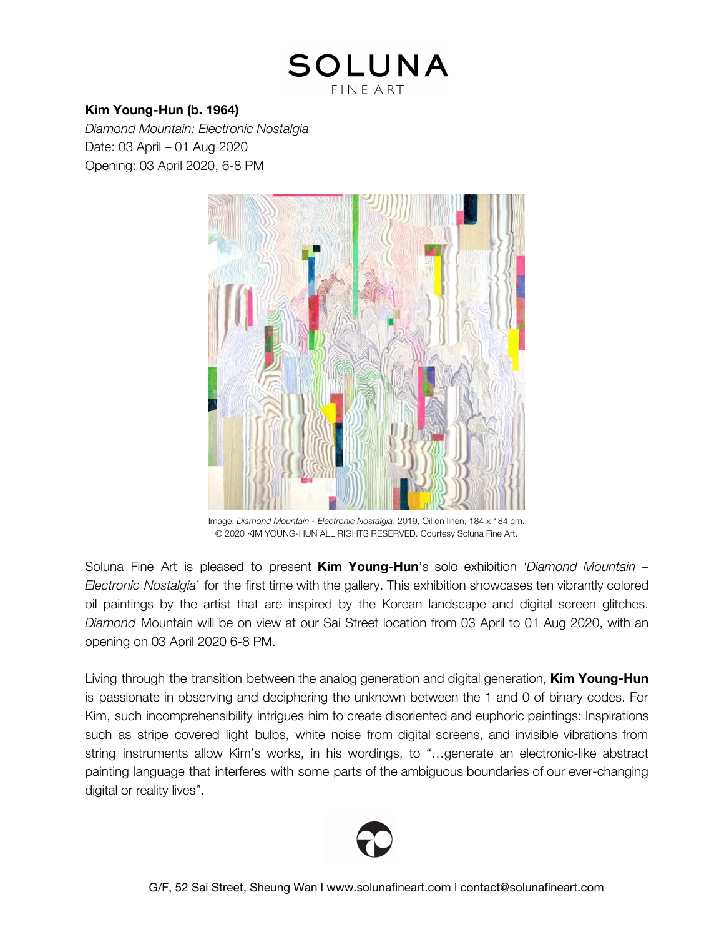## **SOLUNA FINE ART**

## **Kim Young-Hun (b. 1964)**

*Diamond Mountain: Electronic Nostalgia* Date: 03 April – 01 Aug 2020 Opening: 03 April 2020, 6-8 PM



Image: *Diamond Mountain - Electronic Nostalgia*, 2019, Oil on linen, 184 x 184 cm. © 2020 KIM YOUNG-HUN ALL RIGHTS RESERVED. Courtesy Soluna Fine Art.

Soluna Fine Art is pleased to present **Kim Young-Hun**'s solo exhibition *'Diamond Mountain – Electronic Nostalgia*' for the first time with the gallery. This exhibition showcases ten vibrantly colored oil paintings by the artist that are inspired by the Korean landscape and digital screen glitches. *Diamond* Mountain will be on view at our Sai Street location from 03 April to 01 Aug 2020, with an opening on 03 April 2020 6-8 PM.

Living through the transition between the analog generation and digital generation, **Kim Young-Hun** is passionate in observing and deciphering the unknown between the 1 and 0 of binary codes. For Kim, such incomprehensibility intrigues him to create disoriented and euphoric paintings: Inspirations such as stripe covered light bulbs, white noise from digital screens, and invisible vibrations from string instruments allow Kim's works, in his wordings, to "…generate an electronic-like abstract painting language that interferes with some parts of the ambiguous boundaries of our ever-changing digital or reality lives".

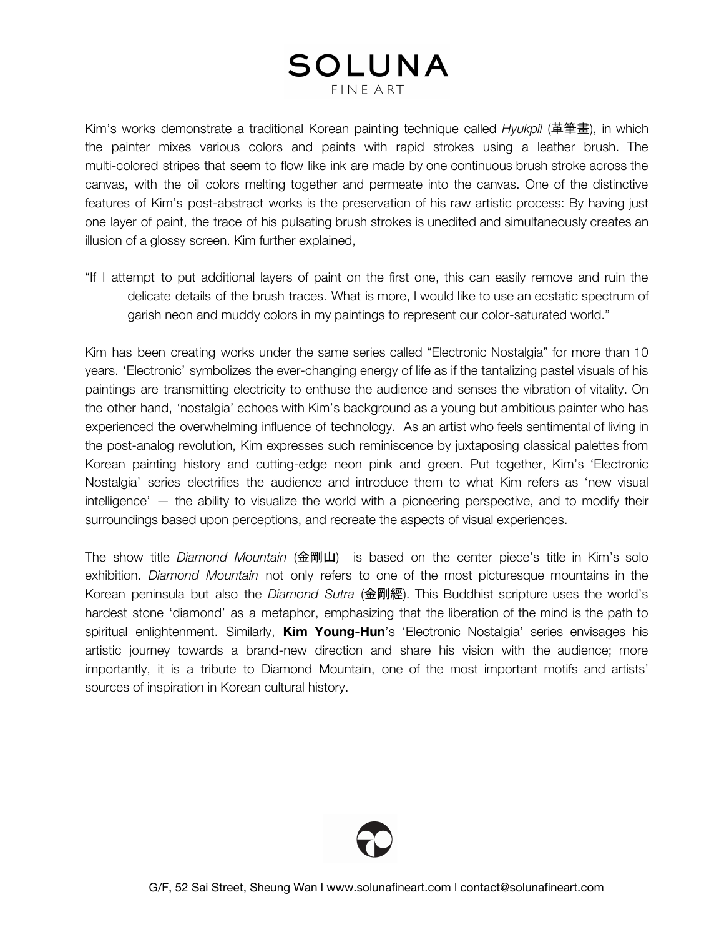# SOLUNA

FINE ART

Kim's works demonstrate a traditional Korean painting technique called *Hyukpil* (革筆畫), in which the painter mixes various colors and paints with rapid strokes using a leather brush. The multi-colored stripes that seem to flow like ink are made by one continuous brush stroke across the canvas, with the oil colors melting together and permeate into the canvas. One of the distinctive features of Kim's post-abstract works is the preservation of his raw artistic process: By having just one layer of paint, the trace of his pulsating brush strokes is unedited and simultaneously creates an illusion of a glossy screen. Kim further explained,

"If I attempt to put additional layers of paint on the first one, this can easily remove and ruin the delicate details of the brush traces. What is more, I would like to use an ecstatic spectrum of garish neon and muddy colors in my paintings to represent our color-saturated world."

Kim has been creating works under the same series called "Electronic Nostalgia" for more than 10 years. 'Electronic' symbolizes the ever-changing energy of life as if the tantalizing pastel visuals of his paintings are transmitting electricity to enthuse the audience and senses the vibration of vitality. On the other hand, 'nostalgia' echoes with Kim's background as a young but ambitious painter who has experienced the overwhelming influence of technology. As an artist who feels sentimental of living in the post-analog revolution, Kim expresses such reminiscence by juxtaposing classical palettes from Korean painting history and cutting-edge neon pink and green. Put together, Kim's 'Electronic Nostalgia' series electrifies the audience and introduce them to what Kim refers as 'new visual intelligence' — the ability to visualize the world with a pioneering perspective, and to modify their surroundings based upon perceptions, and recreate the aspects of visual experiences.

The show title *Diamond Mountain* (金剛山) is based on the center piece's title in Kim's solo exhibition. *Diamond Mountain* not only refers to one of the most picturesque mountains in the Korean peninsula but also the *Diamond Sutra* (金剛經). This Buddhist scripture uses the world's hardest stone 'diamond' as a metaphor, emphasizing that the liberation of the mind is the path to spiritual enlightenment. Similarly, **Kim Young-Hun**'s 'Electronic Nostalgia' series envisages his artistic journey towards a brand-new direction and share his vision with the audience; more importantly, it is a tribute to Diamond Mountain, one of the most important motifs and artists' sources of inspiration in Korean cultural history.